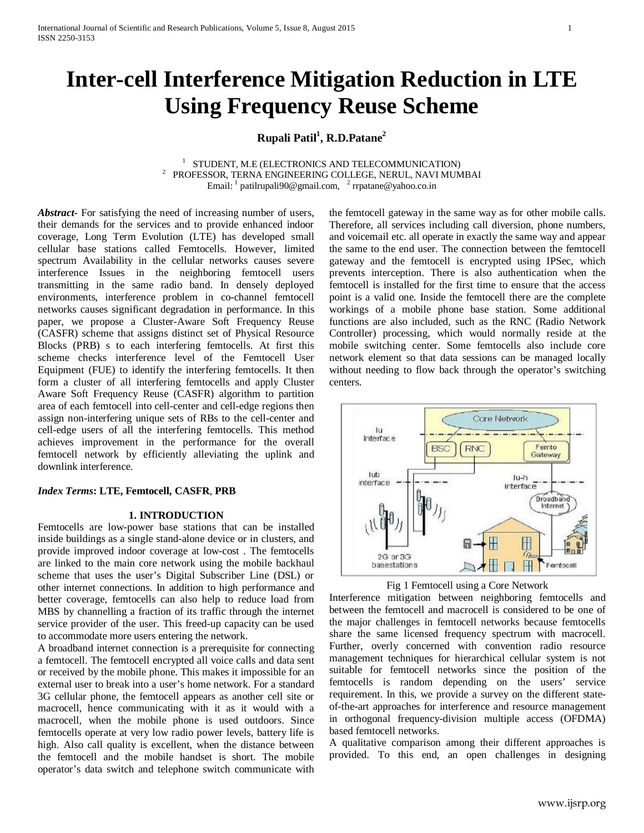# **Inter-cell Interference Mitigation Reduction in LTE Using Frequency Reuse Scheme**

# **Rupali Patil1 , R.D.Patane2**

<sup>1</sup> STUDENT, M.E (ELECTRONICS AND TELECOMMUNICATION) STUDENT, M.E (ELECTRONICS AND TELECOMMUNICATION) <sup>2</sup> PROFESSOR, TERNA ENGINEERING COLLEGE, NERUL, NAVI MUMBAI Email:  $\frac{1}{2}$  [patilrupali90@gmail.com,](mailto:patilrupali90@gmail.com)  $\frac{2}{2}$  rrpatane@yahoo.co.in

*Abstract***-** For satisfying the need of increasing number of users, their demands for the services and to provide enhanced indoor coverage, Long Term Evolution (LTE) has developed small cellular base stations called Femtocells. However, limited spectrum Availability in the cellular networks causes severe interference Issues in the neighboring femtocell users transmitting in the same radio band. In densely deployed environments, interference problem in co-channel femtocell networks causes significant degradation in performance. In this paper, we propose a Cluster-Aware Soft Frequency Reuse (CASFR) scheme that assigns distinct set of Physical Resource Blocks (PRB) s to each interfering femtocells. At first this scheme checks interference level of the Femtocell User Equipment (FUE) to identify the interfering femtocells. It then form a cluster of all interfering femtocells and apply Cluster Aware Soft Frequency Reuse (CASFR) algorithm to partition area of each femtocell into cell-center and cell-edge regions then assign non-interfering unique sets of RBs to the cell-center and cell-edge users of all the interfering femtocells. This method achieves improvement in the performance for the overall femtocell network by efficiently alleviating the uplink and downlink interference.

#### *Index Terms***: LTE, Femtocell, CASFR**, **PRB**

#### **1. INTRODUCTION**

Femtocells are low-power base stations that can be installed inside buildings as a single stand-alone device or in clusters, and provide improved indoor coverage at low-cost . The femtocells are linked to the main core network using the mobile backhaul scheme that uses the user's Digital Subscriber Line (DSL) or other internet connections. In addition to high performance and better coverage, femtocells can also help to reduce load from MBS by channelling a fraction of its traffic through the internet service provider of the user. This freed-up capacity can be used to accommodate more users entering the network.

A broadband internet connection is a prerequisite for connecting a femtocell. The femtocell encrypted all voice calls and data sent or received by the mobile phone. This makes it impossible for an external user to break into a user's home network. For a standard 3G cellular phone, the femtocell appears as another cell site or macrocell, hence communicating with it as it would with a macrocell, when the mobile phone is used outdoors. Since femtocells operate at very low radio power levels, battery life is high. Also call quality is excellent, when the distance between the femtocell and the mobile handset is short. The mobile operator's data switch and telephone switch communicate with the femtocell gateway in the same way as for other mobile calls. Therefore, all services including call diversion, phone numbers, and voicemail etc. all operate in exactly the same way and appear the same to the end user. The connection between the femtocell gateway and the femtocell is encrypted using IPSec, which prevents interception. There is also authentication when the femtocell is installed for the first time to ensure that the access point is a valid one. Inside the femtocell there are the complete workings of a mobile phone base station. Some additional functions are also included, such as the RNC (Radio Network Controller) processing, which would normally reside at the mobile switching center. Some femtocells also include core network element so that data sessions can be managed locally without needing to flow back through the operator's switching centers.





Interference mitigation between neighboring femtocells and between the femtocell and macrocell is considered to be one of the major challenges in femtocell networks because femtocells share the same licensed frequency spectrum with macrocell. Further, overly concerned with convention radio resource management techniques for hierarchical cellular system is not suitable for femtocell networks since the position of the femtocells is random depending on the users' service requirement. In this, we provide a survey on the different stateof-the-art approaches for interference and resource management in orthogonal frequency-division multiple access (OFDMA) based femtocell networks.

A qualitative comparison among their different approaches is provided. To this end, an open challenges in designing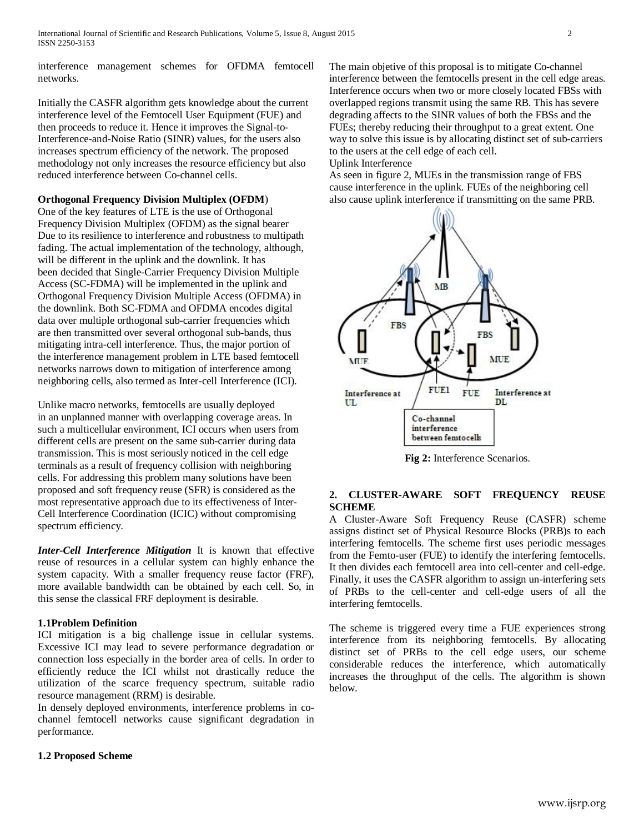interference management schemes for OFDMA femtocell networks.

Initially the CASFR algorithm gets knowledge about the current interference level of the Femtocell User Equipment (FUE) and then proceeds to reduce it. Hence it improves the Signal-to-Interference-and-Noise Ratio (SINR) values, for the users also increases spectrum efficiency of the network. The proposed methodology not only increases the resource efficiency but also reduced interference between Co-channel cells.

## **Orthogonal Frequency Division Multiplex (OFDM**)

One of the key features of LTE is the use of Orthogonal Frequency Division Multiplex (OFDM) as the signal bearer Due to its resilience to interference and robustness to multipath fading. The actual implementation of the technology, although, will be different in the uplink and the downlink. It has been decided that Single-Carrier Frequency Division Multiple Access (SC-FDMA) will be implemented in the uplink and Orthogonal Frequency Division Multiple Access (OFDMA) in the downlink. Both SC-FDMA and OFDMA encodes digital data over multiple orthogonal sub-carrier frequencies which are then transmitted over several orthogonal sub-bands, thus mitigating intra-cell interference. Thus, the major portion of the interference management problem in LTE based femtocell networks narrows down to mitigation of interference among neighboring cells, also termed as Inter-cell Interference (ICI).

Unlike macro networks, femtocells are usually deployed in an unplanned manner with overlapping coverage areas. In such a multicellular environment, ICI occurs when users from different cells are present on the same sub-carrier during data transmission. This is most seriously noticed in the cell edge terminals as a result of frequency collision with neighboring cells. For addressing this problem many solutions have been proposed and soft frequency reuse (SFR) is considered as the most representative approach due to its effectiveness of Inter-Cell Interference Coordination (ICIC) without compromising spectrum efficiency.

*Inter-Cell Interference Mitigation* It is known that effective reuse of resources in a cellular system can highly enhance the system capacity. With a smaller frequency reuse factor (FRF), more available bandwidth can be obtained by each cell. So, in this sense the classical FRF deployment is desirable.

# **1.1Problem Definition**

ICI mitigation is a big challenge issue in cellular systems. Excessive ICI may lead to severe performance degradation or connection loss especially in the border area of cells. In order to efficiently reduce the ICI whilst not drastically reduce the utilization of the scarce frequency spectrum, suitable radio resource management (RRM) is desirable.

In densely deployed environments, interference problems in cochannel femtocell networks cause significant degradation in performance.

# **1.2 Proposed Scheme**

The main objetive of this proposal is to mitigate Co-channel interference between the femtocells present in the cell edge areas. Interference occurs when two or more closely located FBSs with overlapped regions transmit using the same RB. This has severe degrading affects to the SINR values of both the FBSs and the FUEs; thereby reducing their throughput to a great extent. One way to solve this issue is by allocating distinct set of sub-carriers to the users at the cell edge of each cell. Uplink Interference

As seen in figure 2, MUEs in the transmission range of FBS cause interference in the uplink. FUEs of the neighboring cell also cause uplink interference if transmitting on the same PRB.



**Fig 2:** Interference Scenarios.

# **2. CLUSTER-AWARE SOFT FREQUENCY REUSE SCHEME**

A Cluster-Aware Soft Frequency Reuse (CASFR) scheme assigns distinct set of Physical Resource Blocks (PRB)s to each interfering femtocells. The scheme first uses periodic messages from the Femto-user (FUE) to identify the interfering femtocells. It then divides each femtocell area into cell-center and cell-edge. Finally, it uses the CASFR algorithm to assign un-interfering sets of PRBs to the cell-center and cell-edge users of all the interfering femtocells.

The scheme is triggered every time a FUE experiences strong interference from its neighboring femtocells. By allocating distinct set of PRBs to the cell edge users, our scheme considerable reduces the interference, which automatically increases the throughput of the cells. The algorithm is shown below.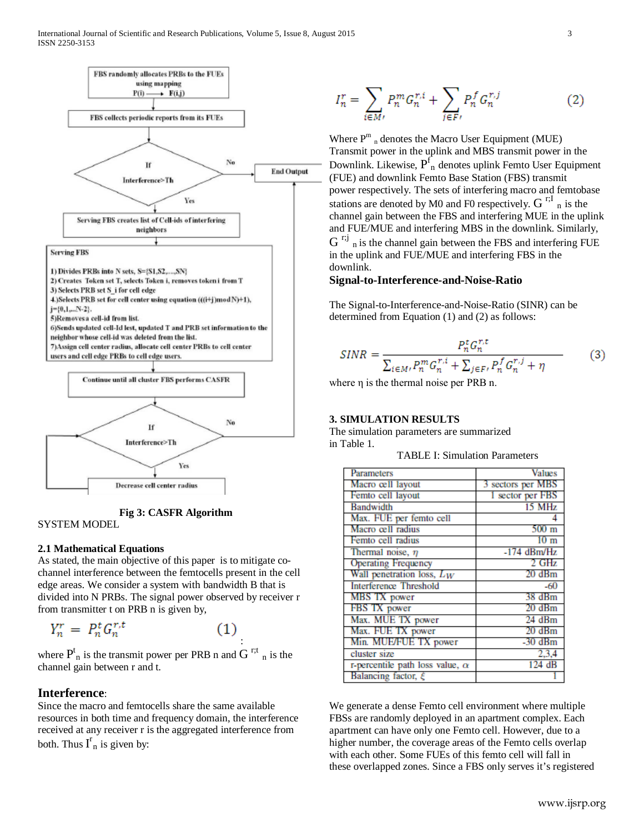

**Fig 3: CASFR Algorithm**

#### SYSTEM MODEL

#### **2.1 Mathematical Equations**

As stated, the main objective of this paper is to mitigate cochannel interference between the femtocells present in the cell edge areas. We consider a system with bandwidth B that is divided into N PRBs. The signal power observed by receiver r from transmitter t on PRB n is given by,

$$
Y_n^r = P_n^t G_n^{r,t} \tag{1}
$$

where  $P_{n}^{t}$  is the transmit power per PRB n and G<sup>r;t</sup><sub>n</sub> is the channel gain between r and t.

# **Interference**:

Since the macro and femtocells share the same available resources in both time and frequency domain, the interference received at any receiver r is the aggregated interference from both. Thus  $I_{n}^{r}$  is given by:

$$
I_n^r = \sum_{i \in M'} P_n^m G_n^{r,i} + \sum_{j \in F'} P_n^f G_n^{r,j}
$$
 (2)

Where  $P^m$  <sub>n</sub> denotes the Macro User Equipment (MUE) Transmit power in the uplink and MBS transmit power in the Downlink. Likewise,  $P_{n}^{f}$  denotes uplink Femto User Equipment (FUE) and downlink Femto Base Station (FBS) transmit power respectively. The sets of interfering macro and femtobase stations are denoted by M0 and F0 respectively.  $G^{r,I}$ <sub>n</sub> is the channel gain between the FBS and interfering MUE in the uplink and FUE/MUE and interfering MBS in the downlink. Similarly,  $G^{r;j}$  n is the channel gain between the FBS and interfering FUE in the uplink and FUE/MUE and interfering FBS in the downlink.

#### **Signal-to-Interference-and-Noise-Ratio**

The Signal-to-Interference-and-Noise-Ratio (SINR) can be determined from Equation (1) and (2) as follows:

$$
SINR = \frac{P_n^t G_n^{r,t}}{\sum_{i \in M'} P_n^m G_n^{r,i} + \sum_{j \in F'} P_n^f G_n^{r,j} + \eta}
$$
(3)

where η is the thermal noise per PRB n.

### **3. SIMULATION RESULTS**

The simulation parameters are summarized in Table 1.

TABLE I: Simulation Parameters

| Parameters                             | <b>Values</b>     |
|----------------------------------------|-------------------|
| Macro cell layout                      | 3 sectors per MBS |
| Femto cell layout                      | 1 sector per FBS  |
| <b>Bandwidth</b>                       | 15 MHz            |
| Max. FUE per femto cell                |                   |
| Macro cell radius                      | $500 \text{ m}$   |
| Femto cell radius                      | $10 \text{ m}$    |
| Thermal noise, $\eta$                  | $-174$ dBm/Hz     |
| <b>Operating Frequency</b>             | 2 GHz             |
| Wall penetration loss, $L_W$           | $20 \text{ dBm}$  |
| <b>Interference Threshold</b>          | $-60$             |
| MBS TX power                           | 38 dBm            |
| FBS TX power                           | $20 \text{ dBm}$  |
| Max. MUE TX power                      | $24$ dBm          |
| Max. FUE TX power                      | $20 \text{ dBm}$  |
| Min. MUE/FUE TX power                  | $-30$ dBm         |
| cluster size                           | 2.3.4             |
| r-percentile path loss value, $\alpha$ | 124dB             |
| Balancing factor, $\xi$                |                   |

We generate a dense Femto cell environment where multiple FBSs are randomly deployed in an apartment complex. Each apartment can have only one Femto cell. However, due to a higher number, the coverage areas of the Femto cells overlap with each other. Some FUEs of this femto cell will fall in these overlapped zones. Since a FBS only serves it's registered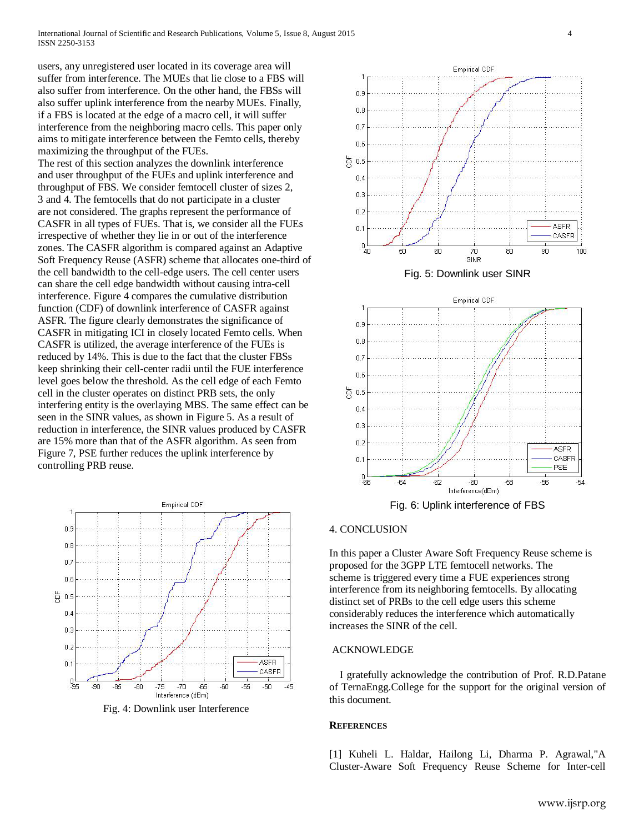users, any unregistered user located in its coverage area will suffer from interference. The MUEs that lie close to a FBS will also suffer from interference. On the other hand, the FBSs will also suffer uplink interference from the nearby MUEs. Finally, if a FBS is located at the edge of a macro cell, it will suffer interference from the neighboring macro cells. This paper only aims to mitigate interference between the Femto cells, thereby maximizing the throughput of the FUEs.

The rest of this section analyzes the downlink interference and user throughput of the FUEs and uplink interference and throughput of FBS. We consider femtocell cluster of sizes 2, 3 and 4. The femtocells that do not participate in a cluster are not considered. The graphs represent the performance of CASFR in all types of FUEs. That is, we consider all the FUEs irrespective of whether they lie in or out of the interference zones. The CASFR algorithm is compared against an Adaptive Soft Frequency Reuse (ASFR) scheme that allocates one-third of the cell bandwidth to the cell-edge users. The cell center users can share the cell edge bandwidth without causing intra-cell interference. Figure 4 compares the cumulative distribution function (CDF) of downlink interference of CASFR against ASFR. The figure clearly demonstrates the significance of CASFR in mitigating ICI in closely located Femto cells. When CASFR is utilized, the average interference of the FUEs is reduced by 14%. This is due to the fact that the cluster FBSs keep shrinking their cell-center radii until the FUE interference level goes below the threshold. As the cell edge of each Femto cell in the cluster operates on distinct PRB sets, the only interfering entity is the overlaying MBS. The same effect can be seen in the SINR values, as shown in Figure 5. As a result of reduction in interference, the SINR values produced by CASFR are 15% more than that of the ASFR algorithm. As seen from Figure 7, PSE further reduces the uplink interference by controlling PRB reuse.



Fig. 4: Downlink user Interference







Fig. 6: Uplink interference of FBS

#### 4. CONCLUSION

In this paper a Cluster Aware Soft Frequency Reuse scheme is proposed for the 3GPP LTE femtocell networks. The scheme is triggered every time a FUE experiences strong interference from its neighboring femtocells. By allocating distinct set of PRBs to the cell edge users this scheme considerably reduces the interference which automatically increases the SINR of the cell.

#### ACKNOWLEDGE

 I gratefully acknowledge the contribution of Prof. R.D.Patane of TernaEngg.College for the support for the original version of this document.

#### **REFERENCES**

[1] Kuheli L. Haldar, Hailong Li, Dharma P. Agrawal,"A Cluster-Aware Soft Frequency Reuse Scheme for Inter-cell